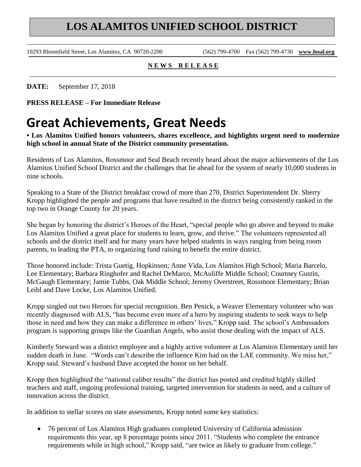## **LOS ALAMITOS UNIFIED SCHOOL DISTRICT**

10293 Bloomfield Street, Los Alamitos, CA 90720-2200 (562) 799-4700 Fax (562) 799-4730 **www.losal.org**

## **N E W S R E L E A S E**

**DATE:** September 17, 2018

**PRESS RELEASE – For Immediate Release** 

## **Great Achievements, Great Needs**

**• Los Alamitos Unified honors volunteers, shares excellence, and highlights urgent need to modernize high school in annual State of the District community presentation.**

Residents of Los Alamitos, Rossmoor and Seal Beach recently heard about the major achievements of the Los Alamitos Unified School District and the challenges that lie ahead for the system of nearly 10,000 students in nine schools.

Speaking to a State of the District breakfast crowd of more than 270, District Superintendent Dr. Sherry Kropp highlighted the people and programs that have resulted in the district being consistently ranked in the top two in Orange County for 20 years.

She began by honoring the district's Heroes of the Heart, "special people who go above and beyond to make Los Alamitos Unified a great place for students to learn, grow, and thrive." The volunteers represented all schools and the district itself and for many years have helped students in ways ranging from being room parents, to leading the PTA, to organizing fund raising to benefit the entire district.

Those honored include: Trista Guetig, Hopkinson; Anne Vida, Los Alamitos High School; Maria Barcelo, Lee Elementary; Barbara Ringhofer and Rachel DeMarco, McAuliffe Middle School; Courtney Gustin, McGaugh Elementary; Jamie Tubbs, Oak Middle School; Jeremy Overstreet, Rossmoor Elementary; Brian Leibl and Dave Locke, Los Alamitos Unified.

Kropp singled out two Heroes for special recognition. Ben Penick, a Weaver Elementary volunteer who was recently diagnosed with ALS, "has become even more of a hero by inspiring students to seek ways to help those in need and how they can make a difference in others' lives," Kropp said. The school's Ambassadors program is supporting groups like the Guardian Angels, who assist those dealing with the impact of ALS.

Kimberly Steward was a district employee and a highly active volunteer at Los Alamitos Elementary until her sudden death in June. "Words can't describe the influence Kim had on the LAE community. We miss her," Kropp said. Steward's husband Dave accepted the honor on her behalf.

Kropp then highlighted the "national caliber results" the district has posted and credited highly skilled teachers and staff, ongoing professional training, targeted intervention for students in need, and a culture of innovation across the district.

In addition to stellar scores on state assessments, Kropp noted some key statistics:

• 76 percent of Los Alamitos High graduates completed University of California admission requirements this year, up 8 percentage points since 2011. "Students who complete the entrance requirements while in high school," Kropp said, "are twice as likely to graduate from college."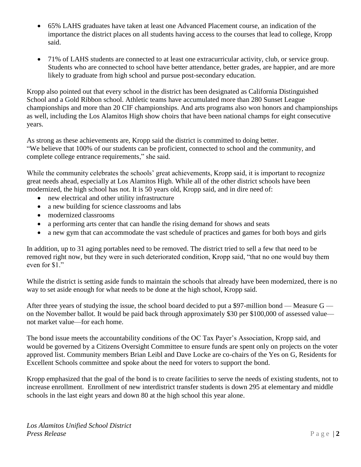- 65% LAHS graduates have taken at least one Advanced Placement course, an indication of the importance the district places on all students having access to the courses that lead to college, Kropp said.
- 71% of LAHS students are connected to at least one extracurricular activity, club, or service group. Students who are connected to school have better attendance, better grades, are happier, and are more likely to graduate from high school and pursue post-secondary education.

Kropp also pointed out that every school in the district has been designated as California Distinguished School and a Gold Ribbon school. Athletic teams have accumulated more than 280 Sunset League championships and more than 20 CIF championships. And arts programs also won honors and championships as well, including the Los Alamitos High show choirs that have been national champs for eight consecutive years.

As strong as these achievements are, Kropp said the district is committed to doing better. "We believe that 100% of our students can be proficient, connected to school and the community, and complete college entrance requirements," she said.

While the community celebrates the schools' great achievements, Kropp said, it is important to recognize great needs ahead, especially at Los Alamitos High. While all of the other district schools have been modernized, the high school has not. It is 50 years old, Kropp said, and in dire need of:

- new electrical and other utility infrastructure
- a new building for science classrooms and labs
- modernized classrooms
- a performing arts center that can handle the rising demand for shows and seats
- a new gym that can accommodate the vast schedule of practices and games for both boys and girls

In addition, up to 31 aging portables need to be removed. The district tried to sell a few that need to be removed right now, but they were in such deteriorated condition, Kropp said, "that no one would buy them even for \$1."

While the district is setting aside funds to maintain the schools that already have been modernized, there is no way to set aside enough for what needs to be done at the high school, Kropp said.

After three years of studying the issue, the school board decided to put a \$97-million bond — Measure  $G$ on the November ballot. It would be paid back through approximately \$30 per \$100,000 of assessed value not market value—for each home.

The bond issue meets the accountability conditions of the OC Tax Payer's Association, Kropp said, and would be governed by a Citizens Oversight Committee to ensure funds are spent only on projects on the voter approved list. Community members Brian Leibl and Dave Locke are co-chairs of the Yes on G, Residents for Excellent Schools committee and spoke about the need for voters to support the bond.

Kropp emphasized that the goal of the bond is to create facilities to serve the needs of existing students, not to increase enrollment. Enrollment of new interdistrict transfer students is down 295 at elementary and middle schools in the last eight years and down 80 at the high school this year alone.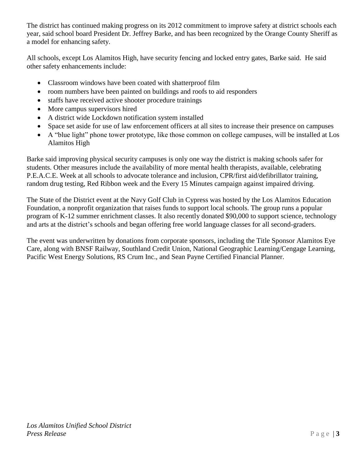The district has continued making progress on its 2012 commitment to improve safety at district schools each year, said school board President Dr. Jeffrey Barke, and has been recognized by the Orange County Sheriff as a model for enhancing safety.

All schools, except Los Alamitos High, have security fencing and locked entry gates, Barke said. He said other safety enhancements include:

- Classroom windows have been coated with shatterproof film
- room numbers have been painted on buildings and roofs to aid responders
- staffs have received active shooter procedure trainings
- More campus supervisors hired
- A district wide Lockdown notification system installed
- Space set aside for use of law enforcement officers at all sites to increase their presence on campuses
- A "blue light" phone tower prototype, like those common on college campuses, will be installed at Los Alamitos High

Barke said improving physical security campuses is only one way the district is making schools safer for students. Other measures include the availability of more mental health therapists, available, celebrating P.E.A.C.E. Week at all schools to advocate tolerance and inclusion, CPR/first aid/defibrillator training, random drug testing, Red Ribbon week and the Every 15 Minutes campaign against impaired driving.

The State of the District event at the Navy Golf Club in Cypress was hosted by the Los Alamitos Education Foundation, a nonprofit organization that raises funds to support local schools. The group runs a popular program of K-12 summer enrichment classes. It also recently donated \$90,000 to support science, technology and arts at the district's schools and began offering free world language classes for all second-graders.

The event was underwritten by donations from corporate sponsors, including the Title Sponsor Alamitos Eye Care, along with BNSF Railway, Southland Credit Union, National Geographic Learning/Cengage Learning, Pacific West Energy Solutions, RS Crum Inc., and Sean Payne Certified Financial Planner.